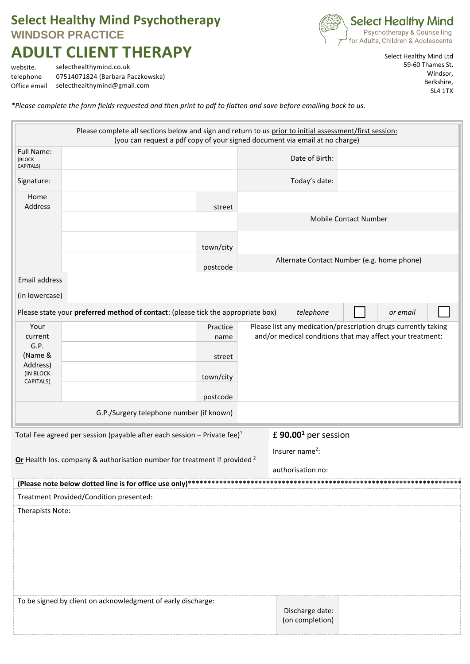## **Select Healthy Mind Psychotherapy WINDSOR PRACTICE ADULT CLIENT THERAPY**



website. selecthealthymind.co.uk telephone 07514071824 (Barbara Paczkowska) Office email selecthealthymind@gmail.com

Select Healthy Mind Ltd 59-60 Thames St, Windsor, Berkshire, SL4 1TX

*\*Please complete the form fields requested and then print to pdf to flatten and save before emailing back to us.*

| Please complete all sections below and sign and return to us prior to initial assessment/first session:<br>(you can request a pdf copy of your signed document via email at no charge) |                                                                                  |                                            |                                                                                                                             |  |
|----------------------------------------------------------------------------------------------------------------------------------------------------------------------------------------|----------------------------------------------------------------------------------|--------------------------------------------|-----------------------------------------------------------------------------------------------------------------------------|--|
| Full Name:<br>(BLOCK<br>CAPITALS)                                                                                                                                                      |                                                                                  |                                            | Date of Birth:                                                                                                              |  |
| Signature:                                                                                                                                                                             |                                                                                  |                                            | Today's date:                                                                                                               |  |
| Home<br><b>Address</b>                                                                                                                                                                 | street                                                                           |                                            |                                                                                                                             |  |
|                                                                                                                                                                                        |                                                                                  |                                            | Mobile Contact Number                                                                                                       |  |
|                                                                                                                                                                                        | town/city                                                                        |                                            |                                                                                                                             |  |
|                                                                                                                                                                                        | postcode                                                                         | Alternate Contact Number (e.g. home phone) |                                                                                                                             |  |
| Email address                                                                                                                                                                          |                                                                                  |                                            |                                                                                                                             |  |
| (in lowercase)                                                                                                                                                                         |                                                                                  |                                            |                                                                                                                             |  |
|                                                                                                                                                                                        | Please state your preferred method of contact: (please tick the appropriate box) |                                            | telephone<br>or email                                                                                                       |  |
| Your<br>current<br>G.P.<br>(Name &<br>Address)<br>(IN BLOCK<br>CAPITALS)                                                                                                               | Practice<br>name                                                                 |                                            | Please list any medication/prescription drugs currently taking<br>and/or medical conditions that may affect your treatment: |  |
|                                                                                                                                                                                        | street                                                                           |                                            |                                                                                                                             |  |
|                                                                                                                                                                                        | town/city                                                                        |                                            |                                                                                                                             |  |
|                                                                                                                                                                                        | postcode                                                                         |                                            |                                                                                                                             |  |
| G.P./Surgery telephone number (if known)                                                                                                                                               |                                                                                  |                                            |                                                                                                                             |  |
| £ 90.00 <sup>1</sup> per session<br>Total Fee agreed per session (payable after each session - Private fee) $1$                                                                        |                                                                                  |                                            |                                                                                                                             |  |
| Or Health Ins. company & authorisation number for treatment if provided <sup>2</sup>                                                                                                   |                                                                                  |                                            | Insurer name <sup>2</sup> :                                                                                                 |  |
|                                                                                                                                                                                        |                                                                                  |                                            | authorisation no:                                                                                                           |  |
|                                                                                                                                                                                        |                                                                                  |                                            |                                                                                                                             |  |
|                                                                                                                                                                                        |                                                                                  |                                            |                                                                                                                             |  |
| Treatment Provided/Condition presented:<br>Therapists Note:                                                                                                                            |                                                                                  |                                            |                                                                                                                             |  |
|                                                                                                                                                                                        | To be signed by client on acknowledgment of early discharge:                     |                                            | Discharge date:<br>(on completion)                                                                                          |  |